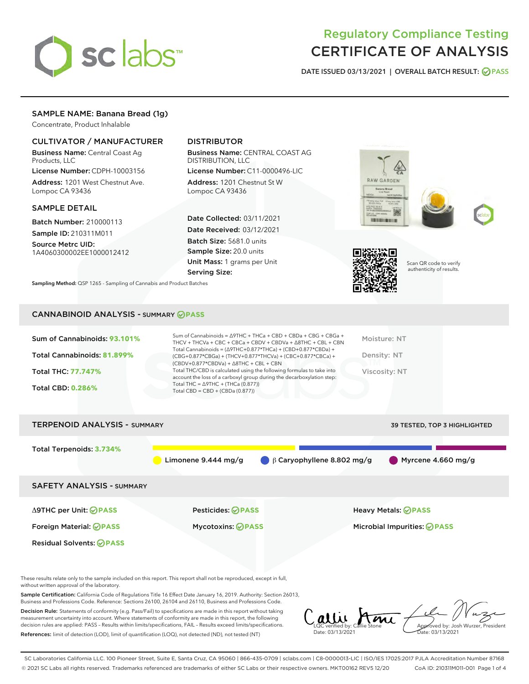

# Regulatory Compliance Testing CERTIFICATE OF ANALYSIS

DATE ISSUED 03/13/2021 | OVERALL BATCH RESULT: @ PASS

# SAMPLE NAME: Banana Bread (1g)

Concentrate, Product Inhalable

## CULTIVATOR / MANUFACTURER

Business Name: Central Coast Ag Products, LLC

License Number: CDPH-10003156 Address: 1201 West Chestnut Ave. Lompoc CA 93436

#### SAMPLE DETAIL

Batch Number: 210000113 Sample ID: 210311M011

Source Metrc UID: 1A4060300002EE1000012412

# DISTRIBUTOR

Business Name: CENTRAL COAST AG DISTRIBUTION, LLC

License Number: C11-0000496-LIC Address: 1201 Chestnut St W Lompoc CA 93436

Date Collected: 03/11/2021 Date Received: 03/12/2021 Batch Size: 5681.0 units Sample Size: 20.0 units Unit Mass: 1 grams per Unit Serving Size:







Scan QR code to verify authenticity of results.

Sampling Method: QSP 1265 - Sampling of Cannabis and Product Batches

## CANNABINOID ANALYSIS - SUMMARY **PASS**

| Sum of Cannabinoids: 93.101% | Sum of Cannabinoids = $\triangle$ 9THC + THCa + CBD + CBDa + CBG + CBGa +<br>THCV + THCVa + CBC + CBCa + CBDV + CBDVa + $\Delta$ 8THC + CBL + CBN                                    | Moisture: NT  |
|------------------------------|--------------------------------------------------------------------------------------------------------------------------------------------------------------------------------------|---------------|
| Total Cannabinoids: 81.899%  | Total Cannabinoids = $(\Delta$ 9THC+0.877*THCa) + (CBD+0.877*CBDa) +<br>(CBG+0.877*CBGa) + (THCV+0.877*THCVa) + (CBC+0.877*CBCa) +<br>$(CBDV+0.877*CBDVa) + \Delta 8THC + CBL + CBN$ | Density: NT   |
| <b>Total THC: 77.747%</b>    | Total THC/CBD is calculated using the following formulas to take into<br>account the loss of a carboxyl group during the decarboxylation step:                                       | Viscosity: NT |
| <b>Total CBD: 0.286%</b>     | Total THC = $\triangle$ 9THC + (THCa (0.877))<br>Total CBD = $CBD + (CBDa (0.877))$                                                                                                  |               |
|                              |                                                                                                                                                                                      |               |

| <b>TERPENOID ANALYSIS - SUMMARY</b> |                          | 39 TESTED, TOP 3 HIGHLIGHTED                                                     |
|-------------------------------------|--------------------------|----------------------------------------------------------------------------------|
| Total Terpenoids: 3.734%            | Limonene $9.444$ mg/g    | $\bigcirc$ $\beta$ Caryophyllene 8.802 mg/g<br>$\blacksquare$ Myrcene 4.660 mg/g |
| <b>SAFETY ANALYSIS - SUMMARY</b>    |                          |                                                                                  |
| ∆9THC per Unit: ⊘PASS               | <b>Pesticides: ⊘PASS</b> | <b>Heavy Metals: ⊘ PASS</b>                                                      |
| Foreign Material: <b>⊘ PASS</b>     | <b>Mycotoxins: ⊘PASS</b> | Microbial Impurities: <b>OPASS</b>                                               |
| <b>Residual Solvents: ⊘PASS</b>     |                          |                                                                                  |

These results relate only to the sample included on this report. This report shall not be reproduced, except in full, without written approval of the laboratory.

Sample Certification: California Code of Regulations Title 16 Effect Date January 16, 2019. Authority: Section 26013, Business and Professions Code. Reference: Sections 26100, 26104 and 26110, Business and Professions Code.

Decision Rule: Statements of conformity (e.g. Pass/Fail) to specifications are made in this report without taking measurement uncertainty into account. Where statements of conformity are made in this report, the following decision rules are applied: PASS – Results within limits/specifications, FAIL – Results exceed limits/specifications. References: limit of detection (LOD), limit of quantification (LOQ), not detected (ND), not tested (NT)

 $\int_{\text{LOC}}$  verified by: Callie Stone Date: 03/13/2021 Approved by: Josh Wurzer, President ate: 03/13/2021

SC Laboratories California LLC. 100 Pioneer Street, Suite E, Santa Cruz, CA 95060 | 866-435-0709 | sclabs.com | C8-0000013-LIC | ISO/IES 17025:2017 PJLA Accreditation Number 87168 © 2021 SC Labs all rights reserved. Trademarks referenced are trademarks of either SC Labs or their respective owners. MKT00162 REV5 12/20 CoA ID: 210311M011-001 Page 1 of 4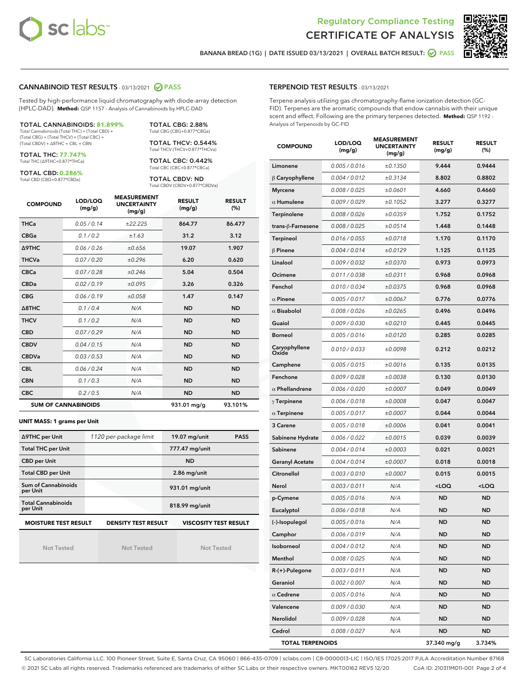



BANANA BREAD (1G) | DATE ISSUED 03/13/2021 | OVERALL BATCH RESULT: @ PASS

## CANNABINOID TEST RESULTS - 03/13/2021 2 PASS

Tested by high-performance liquid chromatography with diode-array detection (HPLC-DAD). **Method:** QSP 1157 - Analysis of Cannabinoids by HPLC-DAD

TOTAL CANNABINOIDS: **81.899%** Total Cannabinoids (Total THC) + (Total CBD) + (Total CBG) + (Total THCV) + (Total CBC) + (Total CBDV) + ∆8THC + CBL + CBN

TOTAL THC: **77.747%**

Total THC (∆9THC+0.877\*THCa)

TOTAL CBD: **0.286%** Total CBD (CBD+0.877\*CBDa)

TOTAL CBG: 2.88% Total CBG (CBG+0.877\*CBGa) TOTAL THCV: 0.544% Total THCV (THCV+0.877\*THCVa)

TOTAL CBC: 0.442% Total CBC (CBC+0.877\*CBCa)

TOTAL CBDV: ND Total CBDV (CBDV+0.877\*CBDVa)

| <b>COMPOUND</b> | LOD/LOQ<br>(mg/g)          | <b>MEASUREMENT</b><br><b>UNCERTAINTY</b><br>(mg/g) | <b>RESULT</b><br>(mg/g) | <b>RESULT</b><br>(% ) |
|-----------------|----------------------------|----------------------------------------------------|-------------------------|-----------------------|
| <b>THCa</b>     | 0.05/0.14                  | ±22.225                                            | 864.77                  | 86.477                |
| <b>CBGa</b>     | 0.1 / 0.2                  | ±1.63                                              | 31.2                    | 3.12                  |
| <b>A9THC</b>    | 0.06/0.26                  | ±0.656                                             | 19.07                   | 1.907                 |
| <b>THCVa</b>    | 0.07/0.20                  | ±0.296                                             | 6.20                    | 0.620                 |
| <b>CBCa</b>     | 0.07/0.28                  | ±0.246                                             | 5.04                    | 0.504                 |
| <b>CBDa</b>     | 0.02/0.19                  | ±0.095                                             | 3.26                    | 0.326                 |
| <b>CBG</b>      | 0.06/0.19                  | ±0.058                                             | 1.47                    | 0.147                 |
| A8THC           | 0.1 / 0.4                  | N/A                                                | <b>ND</b>               | <b>ND</b>             |
| <b>THCV</b>     | 0.1 / 0.2                  | N/A                                                | <b>ND</b>               | <b>ND</b>             |
| <b>CBD</b>      | 0.07/0.29                  | N/A                                                | <b>ND</b>               | <b>ND</b>             |
| <b>CBDV</b>     | 0.04 / 0.15                | N/A                                                | <b>ND</b>               | <b>ND</b>             |
| <b>CBDVa</b>    | 0.03 / 0.53                | N/A                                                | <b>ND</b>               | <b>ND</b>             |
| <b>CBL</b>      | 0.06/0.24                  | N/A                                                | <b>ND</b>               | <b>ND</b>             |
| <b>CBN</b>      | 0.1/0.3                    | N/A                                                | <b>ND</b>               | <b>ND</b>             |
| <b>CBC</b>      | 0.2 / 0.5                  | N/A                                                | <b>ND</b>               | <b>ND</b>             |
|                 | <b>SUM OF CANNABINOIDS</b> |                                                    | 931.01 mg/g             | 93.101%               |

#### **UNIT MASS: 1 grams per Unit**

| ∆9THC per Unit                                                                            | 1120 per-package limit | 19.07 mg/unit<br><b>PASS</b> |  |  |  |
|-------------------------------------------------------------------------------------------|------------------------|------------------------------|--|--|--|
| <b>Total THC per Unit</b>                                                                 |                        | 777.47 mg/unit               |  |  |  |
| <b>CBD per Unit</b>                                                                       |                        | <b>ND</b>                    |  |  |  |
| <b>Total CBD per Unit</b>                                                                 |                        | $2.86$ mg/unit               |  |  |  |
| Sum of Cannabinoids<br>per Unit                                                           |                        | 931.01 mg/unit               |  |  |  |
| <b>Total Cannabinoids</b><br>per Unit                                                     |                        | 818.99 mg/unit               |  |  |  |
| <b>MOISTURE TEST RESULT</b><br><b>VISCOSITY TEST RESULT</b><br><b>DENSITY TEST RESULT</b> |                        |                              |  |  |  |

Not Tested

Not Tested

Not Tested

#### TERPENOID TEST RESULTS - 03/13/2021

Terpene analysis utilizing gas chromatography-flame ionization detection (GC-FID). Terpenes are the aromatic compounds that endow cannabis with their unique scent and effect. Following are the primary terpenes detected. **Method:** QSP 1192 - Analysis of Terpenoids by GC-FID

| <b>COMPOUND</b>         | LOD/LOQ<br>(mg/g) | <b>MEASUREMENT</b><br>UNCERTAINTY<br>(mg/g) | <b>RESULT</b><br>(mg/g)                         | <b>RESULT</b><br>$(\%)$ |
|-------------------------|-------------------|---------------------------------------------|-------------------------------------------------|-------------------------|
| Limonene                | 0.005 / 0.016     | ±0.1350                                     | 9.444                                           | 0.9444                  |
| $\beta$ Caryophyllene   | 0.004 / 0.012     | ±0.3134                                     | 8.802                                           | 0.8802                  |
| <b>Myrcene</b>          | 0.008 / 0.025     | ±0.0601                                     | 4.660                                           | 0.4660                  |
| $\alpha$ Humulene       | 0.009/0.029       | ±0.1052                                     | 3.277                                           | 0.3277                  |
| Terpinolene             | 0.008 / 0.026     | ±0.0359                                     | 1.752                                           | 0.1752                  |
| trans-ß-Farnesene       | 0.008 / 0.025     | $\pm 0.0514$                                | 1.448                                           | 0.1448                  |
| Terpineol               | 0.016 / 0.055     | ±0.0718                                     | 1.170                                           | 0.1170                  |
| $\beta$ Pinene          | 0.004 / 0.014     | ±0.0129                                     | 1.125                                           | 0.1125                  |
| Linalool                | 0.009 / 0.032     | ±0.0370                                     | 0.973                                           | 0.0973                  |
| Ocimene                 | 0.011 / 0.038     | ±0.0311                                     | 0.968                                           | 0.0968                  |
| Fenchol                 | 0.010 / 0.034     | ±0.0375                                     | 0.968                                           | 0.0968                  |
| $\alpha$ Pinene         | 0.005 / 0.017     | ±0.0067                                     | 0.776                                           | 0.0776                  |
| $\alpha$ Bisabolol      | 0.008 / 0.026     | ±0.0265                                     | 0.496                                           | 0.0496                  |
| Guaiol                  | 0.009 / 0.030     | ±0.0210                                     | 0.445                                           | 0.0445                  |
| <b>Borneol</b>          | 0.005 / 0.016     | ±0.0120                                     | 0.285                                           | 0.0285                  |
| Caryophyllene<br>Oxide  | 0.010 / 0.033     | ±0.0098                                     | 0.212                                           | 0.0212                  |
| Camphene                | 0.005 / 0.015     | ±0.0016                                     | 0.135                                           | 0.0135                  |
| Fenchone                | 0.009/0.028       | ±0.0038                                     | 0.130                                           | 0.0130                  |
| $\alpha$ Phellandrene   | 0.006 / 0.020     | ±0.0007                                     | 0.049                                           | 0.0049                  |
| $\gamma$ Terpinene      | 0.006 / 0.018     | ±0.0008                                     | 0.047                                           | 0.0047                  |
| $\alpha$ Terpinene      | 0.005 / 0.017     | ±0.0007                                     | 0.044                                           | 0.0044                  |
| 3 Carene                | 0.005 / 0.018     | ±0.0006                                     | 0.041                                           | 0.0041                  |
| Sabinene Hydrate        | 0.006 / 0.022     | ±0.0015                                     | 0.039                                           | 0.0039                  |
| Sabinene                | 0.004 / 0.014     | ±0.0003                                     | 0.021                                           | 0.0021                  |
| <b>Geranyl Acetate</b>  | 0.004 / 0.014     | ±0.0007                                     | 0.018                                           | 0.0018                  |
| Citronellol             | 0.003 / 0.010     | ±0.0007                                     | 0.015                                           | 0.0015                  |
| Nerol                   | 0.003 / 0.011     | N/A                                         | <loq< th=""><th><loq< th=""></loq<></th></loq<> | <loq< th=""></loq<>     |
| p-Cymene                | 0.005 / 0.016     | N/A                                         | <b>ND</b>                                       | <b>ND</b>               |
| Eucalyptol              | 0.006 / 0.018     | N/A                                         | <b>ND</b>                                       | <b>ND</b>               |
| (-)-Isopulegol          | 0.005 / 0.016     | N/A                                         | ND                                              | ND                      |
| Camphor                 | 0.006 / 0.019     | N/A                                         | ND                                              | ND                      |
| Isoborneol              | 0.004 / 0.012     | N/A                                         | ND                                              | ND                      |
| Menthol                 | 0.008 / 0.025     | N/A                                         | ND                                              | <b>ND</b>               |
| R-(+)-Pulegone          | 0.003 / 0.011     | N/A                                         | ND                                              | ND                      |
| Geraniol                | 0.002 / 0.007     | N/A                                         | ND                                              | ND                      |
| $\alpha$ Cedrene        | 0.005 / 0.016     | N/A                                         | ND                                              | ND                      |
| Valencene               | 0.009 / 0.030     | N/A                                         | ND                                              | ND                      |
| Nerolidol               | 0.009 / 0.028     | N/A                                         | ND                                              | ND                      |
| Cedrol                  | 0.008 / 0.027     | N/A                                         | <b>ND</b>                                       | <b>ND</b>               |
| <b>TOTAL TERPENOIDS</b> |                   |                                             | 37.340 mg/g                                     | 3.734%                  |

SC Laboratories California LLC. 100 Pioneer Street, Suite E, Santa Cruz, CA 95060 | 866-435-0709 | sclabs.com | C8-0000013-LIC | ISO/IES 17025:2017 PJLA Accreditation Number 87168 © 2021 SC Labs all rights reserved. Trademarks referenced are trademarks of either SC Labs or their respective owners. MKT00162 REV5 12/20 CoA ID: 210311M011-001 Page 2 of 4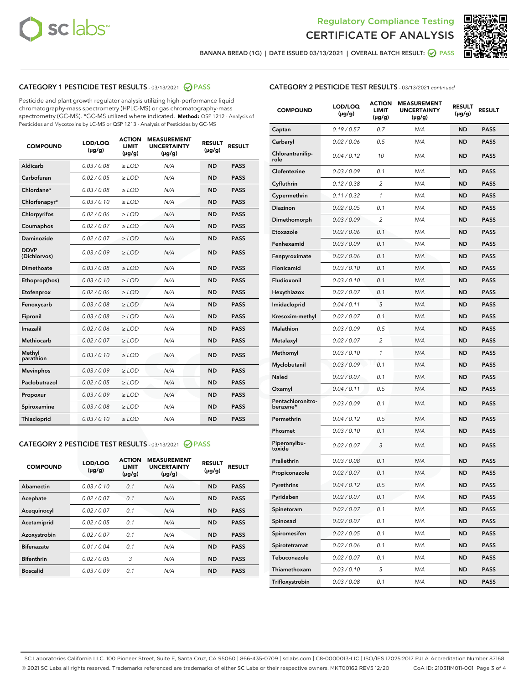



BANANA BREAD (1G) | DATE ISSUED 03/13/2021 | OVERALL BATCH RESULT:  $\bigcirc$  PASS

# CATEGORY 1 PESTICIDE TEST RESULTS - 03/13/2021 2 PASS

Pesticide and plant growth regulator analysis utilizing high-performance liquid chromatography-mass spectrometry (HPLC-MS) or gas chromatography-mass spectrometry (GC-MS). \*GC-MS utilized where indicated. **Method:** QSP 1212 - Analysis of Pesticides and Mycotoxins by LC-MS or QSP 1213 - Analysis of Pesticides by GC-MS

| <b>COMPOUND</b>             | LOD/LOQ<br>$(\mu g/g)$ | <b>ACTION</b><br><b>LIMIT</b><br>$(\mu g/g)$ | <b>MEASUREMENT</b><br><b>UNCERTAINTY</b><br>$(\mu g/g)$ | <b>RESULT</b><br>$(\mu g/g)$ | <b>RESULT</b> |
|-----------------------------|------------------------|----------------------------------------------|---------------------------------------------------------|------------------------------|---------------|
| Aldicarb                    | 0.03 / 0.08            | $\ge$ LOD                                    | N/A                                                     | <b>ND</b>                    | <b>PASS</b>   |
| Carbofuran                  | 0.02/0.05              | $>$ LOD                                      | N/A                                                     | <b>ND</b>                    | <b>PASS</b>   |
| Chlordane*                  | 0.03 / 0.08            | $\ge$ LOD                                    | N/A                                                     | <b>ND</b>                    | <b>PASS</b>   |
| Chlorfenapyr*               | 0.03/0.10              | $\ge$ LOD                                    | N/A                                                     | <b>ND</b>                    | <b>PASS</b>   |
| Chlorpyrifos                | 0.02 / 0.06            | $\ge$ LOD                                    | N/A                                                     | <b>ND</b>                    | <b>PASS</b>   |
| Coumaphos                   | 0.02 / 0.07            | $\ge$ LOD                                    | N/A                                                     | <b>ND</b>                    | <b>PASS</b>   |
| <b>Daminozide</b>           | 0.02 / 0.07            | $\ge$ LOD                                    | N/A                                                     | <b>ND</b>                    | <b>PASS</b>   |
| <b>DDVP</b><br>(Dichlorvos) | 0.03/0.09              | $\ge$ LOD                                    | N/A                                                     | <b>ND</b>                    | <b>PASS</b>   |
| <b>Dimethoate</b>           | 0.03 / 0.08            | $\ge$ LOD                                    | N/A                                                     | <b>ND</b>                    | <b>PASS</b>   |
| Ethoprop(hos)               | 0.03/0.10              | $\ge$ LOD                                    | N/A                                                     | <b>ND</b>                    | <b>PASS</b>   |
| Etofenprox                  | 0.02 / 0.06            | $\ge$ LOD                                    | N/A                                                     | <b>ND</b>                    | <b>PASS</b>   |
| Fenoxycarb                  | 0.03 / 0.08            | $\ge$ LOD                                    | N/A                                                     | <b>ND</b>                    | <b>PASS</b>   |
| Fipronil                    | 0.03 / 0.08            | $>$ LOD                                      | N/A                                                     | <b>ND</b>                    | <b>PASS</b>   |
| <b>Imazalil</b>             | 0.02 / 0.06            | $\ge$ LOD                                    | N/A                                                     | <b>ND</b>                    | <b>PASS</b>   |
| <b>Methiocarb</b>           | 0.02 / 0.07            | $\ge$ LOD                                    | N/A                                                     | <b>ND</b>                    | <b>PASS</b>   |
| Methyl<br>parathion         | 0.03/0.10              | $\ge$ LOD                                    | N/A                                                     | <b>ND</b>                    | <b>PASS</b>   |
| <b>Mevinphos</b>            | 0.03/0.09              | $>$ LOD                                      | N/A                                                     | <b>ND</b>                    | <b>PASS</b>   |
| Paclobutrazol               | 0.02 / 0.05            | $\ge$ LOD                                    | N/A                                                     | <b>ND</b>                    | <b>PASS</b>   |
| Propoxur                    | 0.03/0.09              | $>$ LOD                                      | N/A                                                     | <b>ND</b>                    | <b>PASS</b>   |
| Spiroxamine                 | 0.03 / 0.08            | $\ge$ LOD                                    | N/A                                                     | <b>ND</b>                    | <b>PASS</b>   |
| <b>Thiacloprid</b>          | 0.03/0.10              | $\ge$ LOD                                    | N/A                                                     | <b>ND</b>                    | <b>PASS</b>   |

## CATEGORY 2 PESTICIDE TEST RESULTS - 03/13/2021 @ PASS

| <b>COMPOUND</b>   | LOD/LOQ<br>$(\mu g/g)$ | <b>ACTION</b><br><b>LIMIT</b><br>$(\mu g/g)$ | <b>MEASUREMENT</b><br><b>UNCERTAINTY</b><br>$(\mu g/g)$ | <b>RESULT</b><br>$(\mu g/g)$ | <b>RESULT</b> |
|-------------------|------------------------|----------------------------------------------|---------------------------------------------------------|------------------------------|---------------|
| Abamectin         | 0.03/0.10              | 0.1                                          | N/A                                                     | <b>ND</b>                    | <b>PASS</b>   |
| Acephate          | 0.02/0.07              | 0.1                                          | N/A                                                     | <b>ND</b>                    | <b>PASS</b>   |
| Acequinocyl       | 0.02/0.07              | 0.1                                          | N/A                                                     | <b>ND</b>                    | <b>PASS</b>   |
| Acetamiprid       | 0.02/0.05              | 0.1                                          | N/A                                                     | <b>ND</b>                    | <b>PASS</b>   |
| Azoxystrobin      | 0.02/0.07              | 0.1                                          | N/A                                                     | <b>ND</b>                    | <b>PASS</b>   |
| <b>Bifenazate</b> | 0.01/0.04              | 0.1                                          | N/A                                                     | <b>ND</b>                    | <b>PASS</b>   |
| <b>Bifenthrin</b> | 0.02/0.05              | 3                                            | N/A                                                     | <b>ND</b>                    | <b>PASS</b>   |
| <b>Boscalid</b>   | 0.03/0.09              | 0.1                                          | N/A                                                     | <b>ND</b>                    | <b>PASS</b>   |

# CATEGORY 2 PESTICIDE TEST RESULTS - 03/13/2021 continued

| <b>COMPOUND</b>               | <b>LOD/LOQ</b><br>$(\mu g/g)$ | <b>ACTION</b><br>LIMIT<br>$(\mu g/g)$ | <b>MEASUREMENT</b><br><b>UNCERTAINTY</b><br>(µg/g) | <b>RESULT</b><br>(µg/g) | <b>RESULT</b> |
|-------------------------------|-------------------------------|---------------------------------------|----------------------------------------------------|-------------------------|---------------|
| Captan                        | 0.19/0.57                     | 0.7                                   | N/A                                                | <b>ND</b>               | <b>PASS</b>   |
| Carbaryl                      | 0.02 / 0.06                   | 0.5                                   | N/A                                                | ND                      | <b>PASS</b>   |
| Chlorantranilip-<br>role      | 0.04 / 0.12                   | 10                                    | N/A                                                | <b>ND</b>               | <b>PASS</b>   |
| Clofentezine                  | 0.03 / 0.09                   | 0.1                                   | N/A                                                | ND                      | <b>PASS</b>   |
| Cyfluthrin                    | 0.12 / 0.38                   | 2                                     | N/A                                                | ND                      | <b>PASS</b>   |
| Cypermethrin                  | 0.11 / 0.32                   | 1                                     | N/A                                                | ND                      | <b>PASS</b>   |
| <b>Diazinon</b>               | 0.02 / 0.05                   | 0.1                                   | N/A                                                | ND                      | <b>PASS</b>   |
| Dimethomorph                  | 0.03 / 0.09                   | 2                                     | N/A                                                | <b>ND</b>               | <b>PASS</b>   |
| Etoxazole                     | 0.02 / 0.06                   | 0.1                                   | N/A                                                | ND                      | <b>PASS</b>   |
| Fenhexamid                    | 0.03 / 0.09                   | 0.1                                   | N/A                                                | ND                      | <b>PASS</b>   |
| Fenpyroximate                 | 0.02 / 0.06                   | 0.1                                   | N/A                                                | <b>ND</b>               | <b>PASS</b>   |
| Flonicamid                    | 0.03 / 0.10                   | 0.1                                   | N/A                                                | ND                      | <b>PASS</b>   |
| Fludioxonil                   | 0.03/0.10                     | 0.1                                   | N/A                                                | ND                      | <b>PASS</b>   |
| Hexythiazox                   | 0.02 / 0.07                   | 0.1                                   | N/A                                                | <b>ND</b>               | <b>PASS</b>   |
| Imidacloprid                  | 0.04 / 0.11                   | 5                                     | N/A                                                | ND                      | <b>PASS</b>   |
| Kresoxim-methyl               | 0.02 / 0.07                   | 0.1                                   | N/A                                                | ND                      | <b>PASS</b>   |
| <b>Malathion</b>              | 0.03 / 0.09                   | 0.5                                   | N/A                                                | ND                      | <b>PASS</b>   |
| Metalaxyl                     | 0.02 / 0.07                   | 2                                     | N/A                                                | ND                      | <b>PASS</b>   |
| Methomyl                      | 0.03 / 0.10                   | 1                                     | N/A                                                | ND                      | <b>PASS</b>   |
| Myclobutanil                  | 0.03 / 0.09                   | 0.1                                   | N/A                                                | <b>ND</b>               | <b>PASS</b>   |
| <b>Naled</b>                  | 0.02 / 0.07                   | 0.1                                   | N/A                                                | ND                      | <b>PASS</b>   |
| Oxamyl                        | 0.04 / 0.11                   | 0.5                                   | N/A                                                | ND                      | <b>PASS</b>   |
| Pentachloronitro-<br>benzene* | 0.03 / 0.09                   | 0.1                                   | N/A                                                | ND                      | <b>PASS</b>   |
| Permethrin                    | 0.04 / 0.12                   | 0.5                                   | N/A                                                | ND                      | <b>PASS</b>   |
| Phosmet                       | 0.03 / 0.10                   | 0.1                                   | N/A                                                | ND                      | <b>PASS</b>   |
| Piperonylbu-<br>toxide        | 0.02 / 0.07                   | 3                                     | N/A                                                | <b>ND</b>               | <b>PASS</b>   |
| Prallethrin                   | 0.03 / 0.08                   | 0.1                                   | N/A                                                | <b>ND</b>               | <b>PASS</b>   |
| Propiconazole                 | 0.02 / 0.07                   | 0.1                                   | N/A                                                | <b>ND</b>               | <b>PASS</b>   |
| Pyrethrins                    | 0.04 / 0.12                   | 0.5                                   | N/A                                                | ND                      | PASS          |
| Pyridaben                     | 0.02 / 0.07                   | 0.1                                   | N/A                                                | <b>ND</b>               | <b>PASS</b>   |
| Spinetoram                    | 0.02 / 0.07                   | 0.1                                   | N/A                                                | <b>ND</b>               | <b>PASS</b>   |
| Spinosad                      | 0.02 / 0.07                   | 0.1                                   | N/A                                                | ND                      | <b>PASS</b>   |
| Spiromesifen                  | 0.02 / 0.05                   | 0.1                                   | N/A                                                | <b>ND</b>               | <b>PASS</b>   |
| Spirotetramat                 | 0.02 / 0.06                   | 0.1                                   | N/A                                                | <b>ND</b>               | <b>PASS</b>   |
| Tebuconazole                  | 0.02 / 0.07                   | 0.1                                   | N/A                                                | ND                      | <b>PASS</b>   |
| Thiamethoxam                  | 0.03 / 0.10                   | 5                                     | N/A                                                | <b>ND</b>               | <b>PASS</b>   |
| Trifloxystrobin               | 0.03 / 0.08                   | 0.1                                   | N/A                                                | <b>ND</b>               | <b>PASS</b>   |